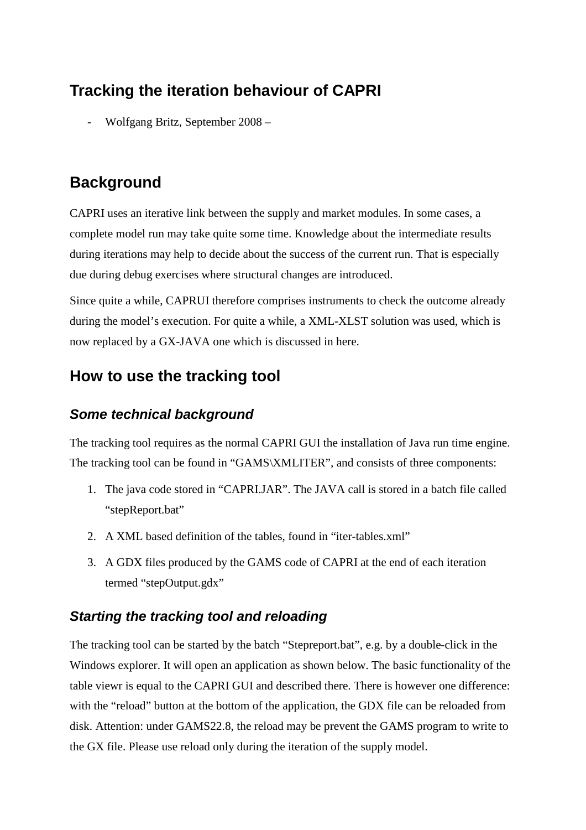# **Tracking the iteration behaviour of CAPRI**

- Wolfgang Britz, September 2008 –

# **Background**

CAPRI uses an iterative link between the supply and market modules. In some cases, a complete model run may take quite some time. Knowledge about the intermediate results during iterations may help to decide about the success of the current run. That is especially due during debug exercises where structural changes are introduced.

Since quite a while, CAPRUI therefore comprises instruments to check the outcome already during the model's execution. For quite a while, a XML-XLST solution was used, which is now replaced by a GX-JAVA one which is discussed in here.

## **How to use the tracking tool**

### *Some technical background*

The tracking tool requires as the normal CAPRI GUI the installation of Java run time engine. The tracking tool can be found in "GAMS\XMLITER", and consists of three components:

- 1. The java code stored in "CAPRI.JAR". The JAVA call is stored in a batch file called "stepReport.bat"
- 2. A XML based definition of the tables, found in "iter-tables.xml"
- 3. A GDX files produced by the GAMS code of CAPRI at the end of each iteration termed "stepOutput.gdx"

### *Starting the tracking tool and reloading*

The tracking tool can be started by the batch "Stepreport.bat", e.g. by a double-click in the Windows explorer. It will open an application as shown below. The basic functionality of the table viewr is equal to the CAPRI GUI and described there. There is however one difference: with the "reload" button at the bottom of the application, the GDX file can be reloaded from disk. Attention: under GAMS22.8, the reload may be prevent the GAMS program to write to the GX file. Please use reload only during the iteration of the supply model.